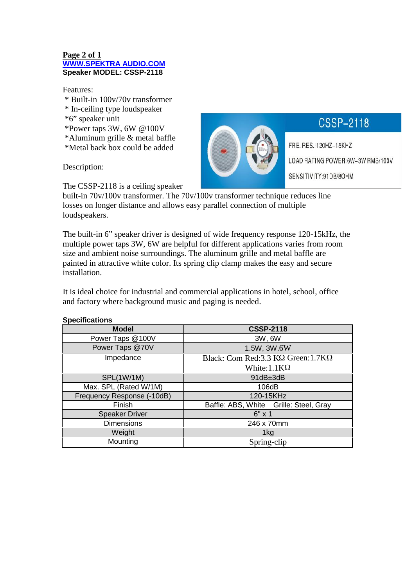#### **Page 2 of 1 WWW.SPEKTRA AUDIO.COM Speaker MODEL: CSSP-2118**

Features:

- \* Built-in 100v/70v transformer
- \* In-ceiling type loudspeaker
- \*6" speaker unit
- \*Power taps 3W, 6W @100V
- \*Aluminum grille & metal baffle
- \*Metal back box could be added

Description:

The CSSP-2118 is a ceiling speaker

built-in 70v/100v transformer. The 70v/100v transformer technique reduces line losses on longer distance and allows easy parallel connection of multiple loudspeakers.

The built-in 6" speaker driver is designed of wide frequency response 120-15kHz, the multiple power taps 3W, 6W are helpful for different applications varies from room size and ambient noise surroundings. The aluminum grille and metal baffle are painted in attractive white color. Its spring clip clamp makes the easy and secure installation.

It is ideal choice for industrial and commercial applications in hotel, school, office and factory where background music and paging is needed.

| <b>Model</b>               | <b>CSSP-2118</b>                       |
|----------------------------|----------------------------------------|
| Power Taps @100V           | 3W, 6W                                 |
| Power Taps @70V            | 1.5W, 3W.6W                            |
| Impedance                  | Black: Com Red: 3.3 K Green: 1.7K      |
|                            | White:1.1K                             |
| SPL(1W/1M)                 | 91dB±3dB                               |
| Max. SPL (Rated W/1M)      | 106dB                                  |
| Frequency Response (-10dB) | 120-15KHz                              |
| Finish                     | Baffle: ABS, White Grille: Steel, Gray |
| <b>Speaker Driver</b>      | $6" \times 1$                          |
| <b>Dimensions</b>          | 246 x 70mm                             |
| Weight                     | 1kg                                    |
| Mounting                   | Spring-clip                            |

# CSSP-2118

FRE. RES.: 120HZ-15KHZ LOAD RATING POWER:6W-3W RMS/100V SENSITIVITY:91DB/8OHM